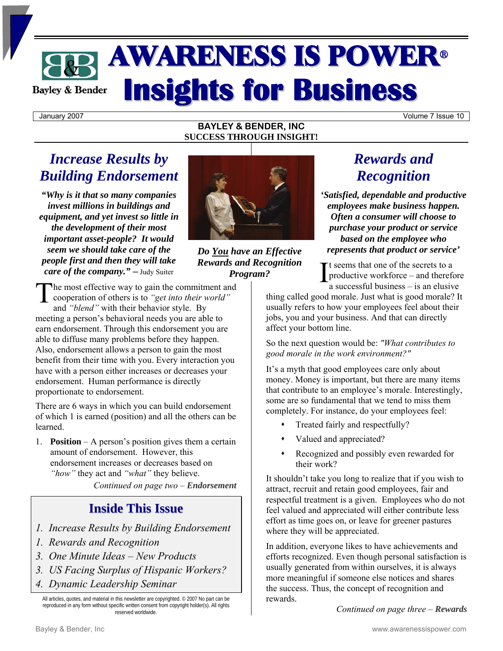# AWARENESS IS POWER<sup>ü</sup> **Insights for Business Bayley & Bender**

January 2007 Volume 7 Issue 10

#### **BAYLEY & BENDER, INC SUCCESS THROUGH INSIGHT!**

## *Increase Results by Building Endorsement*

*"Why is it that so many companies invest millions in buildings and equipment, and yet invest so little in the development of their most important asset-people? It would seem we should take care of the people first and then they will take care of the company." ─* Judy Suiter



*Do You have an Effective Rewards and Recognition Program?* 

he most effective way to gain the commitment and The most effective way to gain the commitment and<br>cooperation of others is to *"get into their world"*<br>and *"bland"* with their behavior style. By and *"blend"* with their behavior style. By meeting a person's behavioral needs you are able to earn endorsement. Through this endorsement you are able to diffuse many problems before they happen. Also, endorsement allows a person to gain the most benefit from their time with you. Every interaction you have with a person either increases or decreases your endorsement. Human performance is directly proportionate to endorsement.

There are 6 ways in which you can build endorsement of which 1 is earned (position) and all the others can be learned.

1. **Position** – A person's position gives them a certain amount of endorsement. However, this endorsement increases or decreases based on *"how"* they act and *"what"* they believe.

*Continued on page two – Endorsement* 

### **Inside This Issue**

- *1. Increase Results by Building Endorsement*
- *1. Rewards and Recognition*
- *3. One Minute Ideas New Products*
- *3. US Facing Surplus of Hispanic Workers?*
- *4. Dynamic Leadership Seminar*

All articles, quotes, and material in this newsletter are copyrighted. © 2007 No part can be reproduced in any form without specific written consent from copyright holder(s). All rights reserved worldwide.

# *Rewards and Recognition*

*'Satisfied, dependable and productive employees make business happen. Often a consumer will choose to purchase your product or service based on the employee who represents that product or service'*

t seems that one of the secrets to a productive workforce – and therefore a successful business – is an elusive I

thing called good morale. Just what is good morale? It usually refers to how your employees feel about their jobs, you and your business. And that can directly affect your bottom line.

So the next question would be: *"What contributes to good morale in the work environment?"* 

It's a myth that good employees care only about money. Money is important, but there are many items that contribute to an employee's morale. Interestingly, some are so fundamental that we tend to miss them completely. For instance, do your employees feel:

- Treated fairly and respectfully?
- Valued and appreciated?
- Recognized and possibly even rewarded for their work?

It shouldn't take you long to realize that if you wish to attract, recruit and retain good employees, fair and respectful treatment is a given. Employees who do not feel valued and appreciated will either contribute less effort as time goes on, or leave for greener pastures where they will be appreciated.

In addition, everyone likes to have achievements and efforts recognized. Even though personal satisfaction is usually generated from within ourselves, it is always more meaningful if someone else notices and shares the success. Thus, the concept of recognition and rewards.

*Continued on page three – Rewards*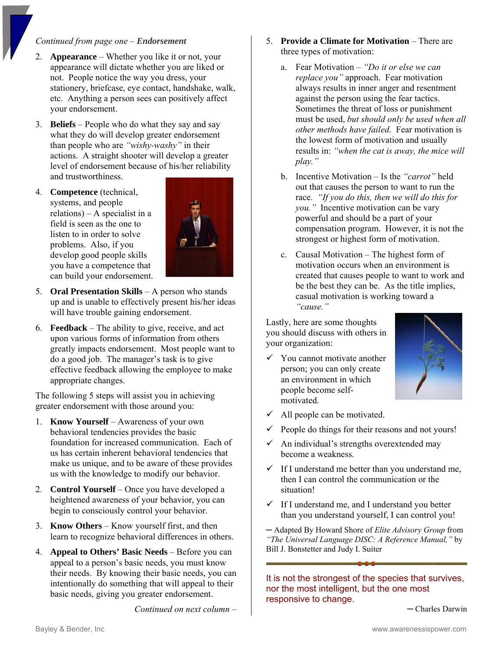#### *Continued from page one – Endorsement*

- 2. **Appearance**  Whether you like it or not, your appearance will dictate whether you are liked or not. People notice the way you dress, your stationery, briefcase, eye contact, handshake, walk, etc. Anything a person sees can positively affect your endorsement.
- 3. **Beliefs** People who do what they say and say what they do will develop greater endorsement than people who are *"wishy-washy"* in their actions. A straight shooter will develop a greater level of endorsement because of his/her reliability and trustworthiness.
- 4. **Competence** (technical, systems, and people relations) – A specialist in a field is seen as the one to listen to in order to solve problems. Also, if you develop good people skills you have a competence that can build your endorsement.



- 5. **Oral Presentation Skills** A person who stands up and is unable to effectively present his/her ideas will have trouble gaining endorsement.
- 6. **Feedback**  The ability to give, receive, and act upon various forms of information from others greatly impacts endorsement. Most people want to do a good job. The manager's task is to give effective feedback allowing the employee to make appropriate changes.

The following 5 steps will assist you in achieving greater endorsement with those around you:

- 1. **Know Yourself** Awareness of your own behavioral tendencies provides the basic foundation for increased communication. Each of us has certain inherent behavioral tendencies that make us unique, and to be aware of these provides us with the knowledge to modify our behavior.
- 2. **Control Yourself** Once you have developed a heightened awareness of your behavior, you can begin to consciously control your behavior.
- 3. **Know Others** Know yourself first, and then learn to recognize behavioral differences in others.
- 4. **Appeal to Others' Basic Needs** Before you can appeal to a person's basic needs, you must know their needs. By knowing their basic needs, you can intentionally do something that will appeal to their basic needs, giving you greater endorsement.

*Continued on next column –* 

- 5. **Provide a Climate for Motivation**  There are three types of motivation:
	- a. Fear Motivation *"Do it or else we can replace you"* approach. Fear motivation always results in inner anger and resentment against the person using the fear tactics. Sometimes the threat of loss or punishment must be used, *but should only be used when all other methods have failed*. Fear motivation is the lowest form of motivation and usually results in: *"when the cat is away, the mice will play."*
	- b. Incentive Motivation Is the *"carrot"* held out that causes the person to want to run the race. *"If you do this, then we will do this for you."* Incentive motivation can be vary powerful and should be a part of your compensation program. However, it is not the strongest or highest form of motivation.
	- c. Causal Motivation The highest form of motivation occurs when an environment is created that causes people to want to work and be the best they can be. As the title implies, casual motivation is working toward a *"cause."*

Lastly, here are some thoughts you should discuss with others in your organization:

You cannot motivate another person; you can only create an environment in which people become selfmotivated.



- All people can be motivated.
- People do things for their reasons and not yours!
- $\checkmark$  An individual's strengths overextended may become a weakness.
- $\checkmark$  If I understand me better than you understand me, then I can control the communication or the situation!
- $\checkmark$  If I understand me, and I understand you better than you understand yourself, I can control you!

─ Adapted By Howard Shore of *Elite Advisory Group* from *"The Universal Language DISC: A Reference Manual,"* by Bill J. Bonstetter and Judy I. Suiter

It is not the strongest of the species that survives, nor the most intelligent, but the one most responsive to change.

─ Charles Darwin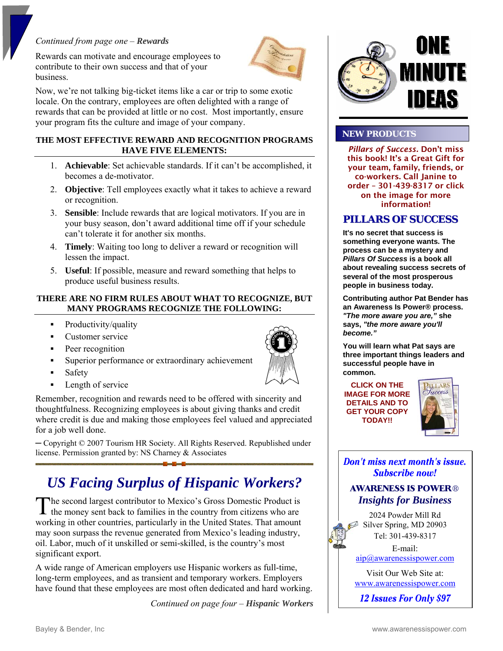#### *Continued from page one – Rewards*

Rewards can motivate and encourage employees to contribute to their own success and that of your business.



Now, we're not talking big-ticket items like a car or trip to some exotic locale. On the contrary, employees are often delighted with a range of rewards that can be provided at little or no cost. Most importantly, ensure your program fits the culture and image of your company.

#### **THE MOST EFFECTIVE REWARD AND RECOGNITION PROGRAMS HAVE FIVE ELEMENTS:**

- 1. **Achievable**: Set achievable standards. If it can't be accomplished, it becomes a de-motivator.
- 2. **Objective**: Tell employees exactly what it takes to achieve a reward or recognition.
- 3. **Sensible**: Include rewards that are logical motivators. If you are in your busy season, don't award additional time off if your schedule can't tolerate it for another six months.
- 4. **Timely**: Waiting too long to deliver a reward or recognition will lessen the impact.
- 5. **Useful**: If possible, measure and reward something that helps to produce useful business results.

#### **THERE ARE NO FIRM RULES ABOUT WHAT TO RECOGNIZE, BUT MANY PROGRAMS RECOGNIZE THE FOLLOWING:**

- Productivity/quality
- **Customer service**
- **Peer recognition**
- Superior performance or extraordinary achievement
- **Safety**
- **Length of service**

Remember, recognition and rewards need to be offered with sincerity and thoughtfulness. Recognizing employees is about giving thanks and credit where credit is due and making those employees feel valued and appreciated for a job well done.

─ Copyright © 2007 Tourism HR Society. All Rights Reserved. Republished under license. Permission granted by: NS Charney & Associates

# *US Facing Surplus of Hispanic Workers?*

he second largest contributor to Mexico's Gross Domestic Product is The second largest contributor to Mexico's Gross Domestic Product is the money sent back to families in the country from citizens who are working in other countries, particularly in the United States. That amount may soon surpass the revenue generated from Mexico's leading industry, oil. Labor, much of it unskilled or semi-skilled, is the country's most significant export.

A wide range of American employers use Hispanic workers as full-time, long-term employees, and as transient and temporary workers. Employers have found that these employees are most often dedicated and hard working.

*Continued on page four – Hispanic Workers*



#### **NEW PRODUCTS**

*Pillars of Success.* Don't miss this book! It's a Great Gift for your team, family, friends, or co-workers. Call Janine to order – 301-439-8317 or click on the image for more information!

### **PILLARS OF SUCCESS**

**It's no secret that success is something everyone wants. The process can be a mystery and**  *Pillars Of Success* **is a book all about revealing success secrets of several of the most prosperous people in business today.**

**Contributing author Pat Bender has an Awareness Is Power® process.**  *"The more aware you are,"* **she says,** *"the more aware you'll become."*

**You will learn what Pat says are three important things leaders and successful people have in common.**

**CLICK ON THE IMAGE FOR MORE DETAILS AND TO GET YOUR COPY TODAY!!** 



Don't miss next month's issue. **Subscribe now!** 

### **AWARENESS IS POWER®** *Insights for Business*

2024 Powder Mill Rd Silver Spring, MD 20903 Tel: 301-439-8317

E-mail: aip@awarenessispower.com

Visit Our Web Site at: www.awarenessispower.com

12 Issues For Only \$97